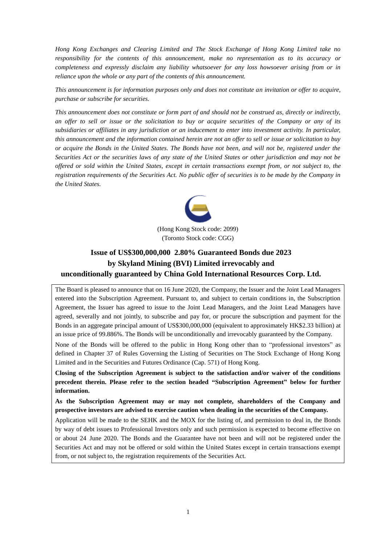*Hong Kong Exchanges and Clearing Limited and The Stock Exchange of Hong Kong Limited take no responsibility for the contents of this announcement, make no representation as to its accuracy or completeness and expressly disclaim any liability whatsoever for any loss howsoever arising from or in reliance upon the whole or any part of the contents of this announcement.*

*This announcement is for information purposes only and does not constitute an invitation or offer to acquire, purchase or subscribe for securities.*

*This announcement does not constitute or form part of and should not be construed as, directly or indirectly, an offer to sell or issue or the solicitation to buy or acquire securities of the Company or any of its subsidiaries or affiliates in any jurisdiction or an inducement to enter into investment activity. In particular, this announcement and the information contained herein are not an offer to sell or issue or solicitation to buy or acquire the Bonds in the United States. The Bonds have not been, and will not be, registered under the Securities Act or the securities laws of any state of the United States or other jurisdiction and may not be offered or sold within the United States, except in certain transactions exempt from, or not subject to, the registration requirements of the Securities Act. No public offer of securities is to be made by the Company in the United States.*



# **Issue of US\$300,000,000 2.80% Guaranteed Bonds due 2023 by Skyland Mining (BVI) Limited irrevocably and unconditionally guaranteed by China Gold International Resources Corp. Ltd.**

The Board is pleased to announce that on 16 June 2020, the Company, the Issuer and the Joint Lead Managers entered into the Subscription Agreement. Pursuant to, and subject to certain conditions in, the Subscription Agreement, the Issuer has agreed to issue to the Joint Lead Managers, and the Joint Lead Managers have agreed, severally and not jointly, to subscribe and pay for, or procure the subscription and payment for the Bonds in an aggregate principal amount of US\$300,000,000 (equivalent to approximately HK\$2.33 billion) at an issue price of 99.886%. The Bonds will be unconditionally and irrevocably guaranteed by the Company.

None of the Bonds will be offered to the public in Hong Kong other than to "professional investors" as defined in Chapter 37 of Rules Governing the Listing of Securities on The Stock Exchange of Hong Kong Limited and in the Securities and Futures Ordinance (Cap. 571) of Hong Kong.

**Closing of the Subscription Agreement is subject to the satisfaction and/or waiver of the conditions precedent therein. Please refer to the section headed "Subscription Agreement" below for further information.**

**As the Subscription Agreement may or may not complete, shareholders of the Company and prospective investors are advised to exercise caution when dealing in the securities of the Company.**

Application will be made to the SEHK and the MOX for the listing of, and permission to deal in, the Bonds by way of debt issues to Professional Investors only and such permission is expected to become effective on or about 24 June 2020. The Bonds and the Guarantee have not been and will not be registered under the Securities Act and may not be offered or sold within the United States except in certain transactions exempt from, or not subject to, the registration requirements of the Securities Act.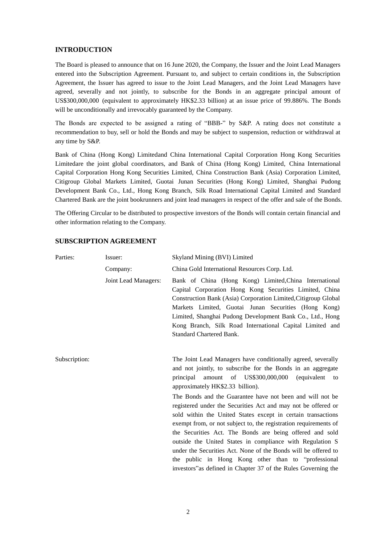#### **INTRODUCTION**

The Board is pleased to announce that on 16 June 2020, the Company, the Issuer and the Joint Lead Managers entered into the Subscription Agreement. Pursuant to, and subject to certain conditions in, the Subscription Agreement, the Issuer has agreed to issue to the Joint Lead Managers, and the Joint Lead Managers have agreed, severally and not jointly, to subscribe for the Bonds in an aggregate principal amount of US\$300,000,000 (equivalent to approximately HK\$2.33 billion) at an issue price of 99.886%. The Bonds will be unconditionally and irrevocably guaranteed by the Company.

The Bonds are expected to be assigned a rating of "BBB-" by S&P. A rating does not constitute a recommendation to buy, sell or hold the Bonds and may be subject to suspension, reduction or withdrawal at any time by S&P.

Bank of China (Hong Kong) Limitedand China International Capital Corporation Hong Kong Securities Limitedare the joint global coordinators, and Bank of China (Hong Kong) Limited, China International Capital Corporation Hong Kong Securities Limited, China Construction Bank (Asia) Corporation Limited, Citigroup Global Markets Limited, Guotai Junan Securities (Hong Kong) Limited, Shanghai Pudong Development Bank Co., Ltd., Hong Kong Branch, Silk Road International Capital Limited and Standard Chartered Bank are the joint bookrunners and joint lead managers in respect of the offer and sale of the Bonds.

The Offering Circular to be distributed to prospective investors of the Bonds will contain certain financial and other information relating to the Company.

| Parties:      | Issuer:              | Skyland Mining (BVI) Limited                                                                                                                                                                                                                                                                                                                                                                                                                                                                                                                                                       |
|---------------|----------------------|------------------------------------------------------------------------------------------------------------------------------------------------------------------------------------------------------------------------------------------------------------------------------------------------------------------------------------------------------------------------------------------------------------------------------------------------------------------------------------------------------------------------------------------------------------------------------------|
|               | Company:             | China Gold International Resources Corp. Ltd.                                                                                                                                                                                                                                                                                                                                                                                                                                                                                                                                      |
|               | Joint Lead Managers: | Bank of China (Hong Kong) Limited, China International<br>Capital Corporation Hong Kong Securities Limited, China<br>Construction Bank (Asia) Corporation Limited, Citigroup Global<br>Markets Limited, Guotai Junan Securities (Hong Kong)<br>Limited, Shanghai Pudong Development Bank Co., Ltd., Hong<br>Kong Branch, Silk Road International Capital Limited and<br><b>Standard Chartered Bank.</b>                                                                                                                                                                            |
| Subscription: |                      | The Joint Lead Managers have conditionally agreed, severally<br>and not jointly, to subscribe for the Bonds in an aggregate<br>of US\$300,000,000<br>principal<br>amount<br>(equivalent<br>to<br>approximately HK\$2.33 billion).                                                                                                                                                                                                                                                                                                                                                  |
|               |                      | The Bonds and the Guarantee have not been and will not be<br>registered under the Securities Act and may not be offered or<br>sold within the United States except in certain transactions<br>exempt from, or not subject to, the registration requirements of<br>the Securities Act. The Bonds are being offered and sold<br>outside the United States in compliance with Regulation S<br>under the Securities Act. None of the Bonds will be offered to<br>the public in Hong Kong other than to "professional<br>investors" as defined in Chapter 37 of the Rules Governing the |

#### **SUBSCRIPTION AGREEMENT**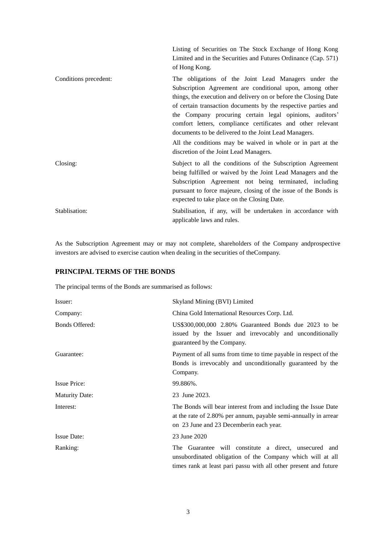|                       | Listing of Securities on The Stock Exchange of Hong Kong<br>Limited and in the Securities and Futures Ordinance (Cap. 571)<br>of Hong Kong.                                                                                                                                                                                                                                                                                                                                                                                                        |
|-----------------------|----------------------------------------------------------------------------------------------------------------------------------------------------------------------------------------------------------------------------------------------------------------------------------------------------------------------------------------------------------------------------------------------------------------------------------------------------------------------------------------------------------------------------------------------------|
| Conditions precedent: | The obligations of the Joint Lead Managers under the<br>Subscription Agreement are conditional upon, among other<br>things, the execution and delivery on or before the Closing Date<br>of certain transaction documents by the respective parties and<br>the Company procuring certain legal opinions, auditors'<br>comfort letters, compliance certificates and other relevant<br>documents to be delivered to the Joint Lead Managers.<br>All the conditions may be waived in whole or in part at the<br>discretion of the Joint Lead Managers. |
| Closing:              | Subject to all the conditions of the Subscription Agreement<br>being fulfilled or waived by the Joint Lead Managers and the<br>Subscription Agreement not being terminated, including<br>pursuant to force majeure, closing of the issue of the Bonds is<br>expected to take place on the Closing Date.                                                                                                                                                                                                                                            |
| Stablisation:         | Stabilisation, if any, will be undertaken in accordance with<br>applicable laws and rules.                                                                                                                                                                                                                                                                                                                                                                                                                                                         |

As the Subscription Agreement may or may not complete, shareholders of the Company andprospective investors are advised to exercise caution when dealing in the securities of theCompany.

# **PRINCIPAL TERMS OF THE BONDS**

The principal terms of the Bonds are summarised as follows:

| Issuer:               | Skyland Mining (BVI) Limited                                                                                                                                                            |
|-----------------------|-----------------------------------------------------------------------------------------------------------------------------------------------------------------------------------------|
| Company:              | China Gold International Resources Corp. Ltd.                                                                                                                                           |
| Bonds Offered:        | US\$300,000,000 2.80% Guaranteed Bonds due 2023 to be<br>issued by the Issuer and irrevocably and unconditionally<br>guaranteed by the Company.                                         |
| Guarantee:            | Payment of all sums from time to time payable in respect of the<br>Bonds is irrevocably and unconditionally guaranteed by the<br>Company.                                               |
| <b>Issue Price:</b>   | 99.886%.                                                                                                                                                                                |
| <b>Maturity Date:</b> | 23 June 2023.                                                                                                                                                                           |
| Interest:             | The Bonds will bear interest from and including the Issue Date<br>at the rate of 2.80% per annum, payable semi-annually in arrear<br>on 23 June and 23 December in each year.           |
| <b>Issue Date:</b>    | 23 June 2020                                                                                                                                                                            |
| Ranking:              | The Guarantee will constitute a direct, unsecured and<br>unsubordinated obligation of the Company which will at all<br>times rank at least pari passu with all other present and future |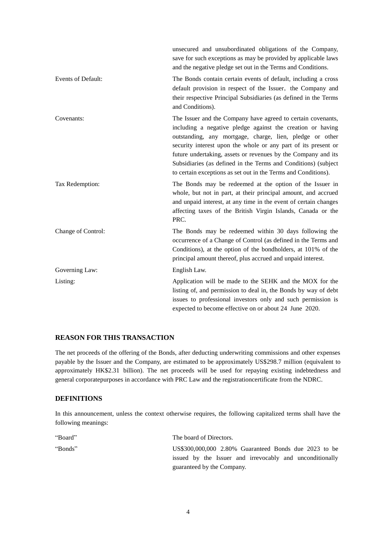|                           | unsecured and unsubordinated obligations of the Company,<br>save for such exceptions as may be provided by applicable laws<br>and the negative pledge set out in the Terms and Conditions.                                                                                                                                                                                                                                                                    |
|---------------------------|---------------------------------------------------------------------------------------------------------------------------------------------------------------------------------------------------------------------------------------------------------------------------------------------------------------------------------------------------------------------------------------------------------------------------------------------------------------|
| <b>Events of Default:</b> | The Bonds contain certain events of default, including a cross<br>default provision in respect of the Issuer, the Company and<br>their respective Principal Subsidiaries (as defined in the Terms<br>and Conditions).                                                                                                                                                                                                                                         |
| Covenants:                | The Issuer and the Company have agreed to certain covenants,<br>including a negative pledge against the creation or having<br>outstanding, any mortgage, charge, lien, pledge or other<br>security interest upon the whole or any part of its present or<br>future undertaking, assets or revenues by the Company and its<br>Subsidiaries (as defined in the Terms and Conditions) (subject<br>to certain exceptions as set out in the Terms and Conditions). |
| Tax Redemption:           | The Bonds may be redeemed at the option of the Issuer in<br>whole, but not in part, at their principal amount, and accrued<br>and unpaid interest, at any time in the event of certain changes<br>affecting taxes of the British Virgin Islands, Canada or the<br>PRC.                                                                                                                                                                                        |
| Change of Control:        | The Bonds may be redeemed within 30 days following the<br>occurrence of a Change of Control (as defined in the Terms and<br>Conditions), at the option of the bondholders, at 101% of the<br>principal amount thereof, plus accrued and unpaid interest.                                                                                                                                                                                                      |
| Governing Law:            | English Law.                                                                                                                                                                                                                                                                                                                                                                                                                                                  |
| Listing:                  | Application will be made to the SEHK and the MOX for the<br>listing of, and permission to deal in, the Bonds by way of debt<br>issues to professional investors only and such permission is<br>expected to become effective on or about 24 June 2020.                                                                                                                                                                                                         |

# **REASON FOR THIS TRANSACTION**

The net proceeds of the offering of the Bonds, after deducting underwriting commissions and other expenses payable by the Issuer and the Company, are estimated to be approximately US\$298.7 million (equivalent to approximately HK\$2.31 billion). The net proceeds will be used for repaying existing indebtedness and general corporatepurposes in accordance with PRC Law and the registrationcertificate from the NDRC.

### **DEFINITIONS**

In this announcement, unless the context otherwise requires, the following capitalized terms shall have the following meanings:

| "Board" | The board of Directors.                                  |
|---------|----------------------------------------------------------|
| "Bonds" | US\$300,000,000 2.80% Guaranteed Bonds due 2023 to be    |
|         | issued by the Issuer and irrevocably and unconditionally |
|         | guaranteed by the Company.                               |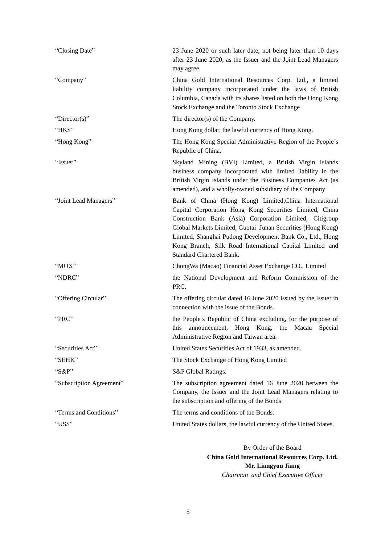| "Closing Date"           | 23 June 2020 or such later date, not being later than 10 days<br>after 23 June 2020, as the Issuer and the Joint Lead Managers<br>may agree.                                                                                                                                                                                                                                                     |
|--------------------------|--------------------------------------------------------------------------------------------------------------------------------------------------------------------------------------------------------------------------------------------------------------------------------------------------------------------------------------------------------------------------------------------------|
| "Company"                | China Gold International Resources Corp. Ltd., a limited<br>liability company incorporated under the laws of British<br>Columbia, Canada with its shares listed on both the Hong Kong<br>Stock Exchange and the Toronto Stock Exchange                                                                                                                                                           |
| " $Directory$ "          | The director(s) of the Company.                                                                                                                                                                                                                                                                                                                                                                  |
| "HK\$"                   | Hong Kong dollar, the lawful currency of Hong Kong.                                                                                                                                                                                                                                                                                                                                              |
| "Hong Kong"              | The Hong Kong Special Administrative Region of the People's<br>Republic of China.                                                                                                                                                                                                                                                                                                                |
| "Issuer"                 | Skyland Mining (BVI) Limited, a British Virgin Islands<br>business company incorporated with limited liability in the<br>British Virgin Islands under the Business Companies Act (as<br>amended), and a wholly-owned subsidiary of the Company                                                                                                                                                   |
| "Joint Lead Managers"    | Bank of China (Hong Kong) Limited, China International<br>Capital Corporation Hong Kong Securities Limited, China<br>Construction Bank (Asia) Corporation Limited, Citigroup<br>Global Markets Limited, Guotai Junan Securities (Hong Kong)<br>Limited, Shanghai Pudong Development Bank Co., Ltd., Hong<br>Kong Branch, Silk Road International Capital Limited and<br>Standard Chartered Bank. |
| " $MOX$ "                | Chong Wa (Macao) Financial Asset Exchange CO., Limited                                                                                                                                                                                                                                                                                                                                           |
| "NDRC"                   | the National Development and Reform Commission of the<br>PRC.                                                                                                                                                                                                                                                                                                                                    |
| "Offering Circular"      | The offering circular dated 16 June 2020 issued by the Issuer in<br>connection with the issue of the Bonds.                                                                                                                                                                                                                                                                                      |
| "PRC"                    | the People's Republic of China excluding, for the purpose of<br>announcement, Hong Kong, the Macau<br>this<br>Special<br>Administrative Region and Taiwan area.                                                                                                                                                                                                                                  |
| "Securities Act"         | United States Securities Act of 1933, as amended.                                                                                                                                                                                                                                                                                                                                                |
| "SEHK"                   | The Stock Exchange of Hong Kong Limited                                                                                                                                                                                                                                                                                                                                                          |
| " $S\&P"$                | S&P Global Ratings.                                                                                                                                                                                                                                                                                                                                                                              |
| "Subscription Agreement" | The subscription agreement dated 16 June 2020 between the<br>Company, the Issuer and the Joint Lead Managers relating to<br>the subscription and offering of the Bonds.                                                                                                                                                                                                                          |
| "Terms and Conditions"   | The terms and conditions of the Bonds.                                                                                                                                                                                                                                                                                                                                                           |
| "US\$"                   | United States dollars, the lawful currency of the United States.                                                                                                                                                                                                                                                                                                                                 |

By Order of the Board **China Gold International Resources Corp. Ltd. Mr. Liangyou Jiang** *Chairman and Chief Executive Officer*